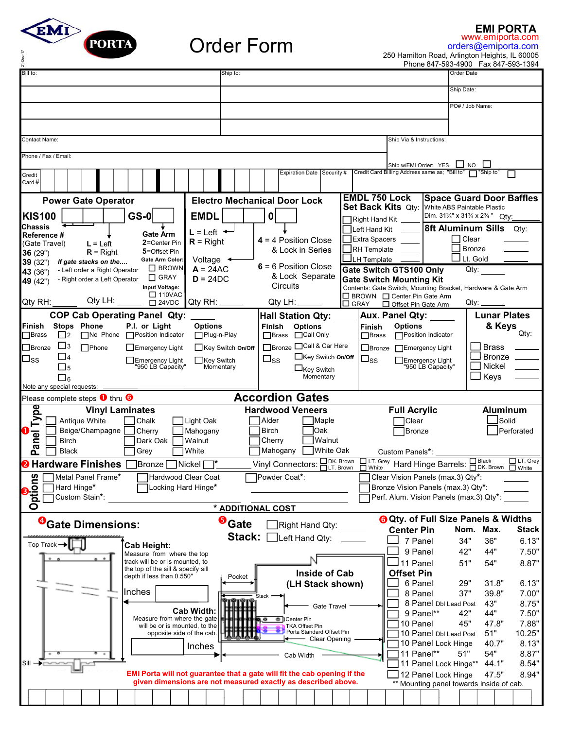

## Order Form

**EMI PORTA**

orders@emiporta.com www.emiporta.com

250 Hamilton Road, Arlington Heights, IL 60005 Phone 847-593-4900 Fax 847-593-1394

| Bill to:                                                     | Ship to:                                                         |                                                                                                                                           |                                                               | Order Date                                                                        |
|--------------------------------------------------------------|------------------------------------------------------------------|-------------------------------------------------------------------------------------------------------------------------------------------|---------------------------------------------------------------|-----------------------------------------------------------------------------------|
|                                                              |                                                                  |                                                                                                                                           |                                                               | Ship Date:                                                                        |
|                                                              |                                                                  |                                                                                                                                           |                                                               | PO# / Job Name:                                                                   |
|                                                              |                                                                  |                                                                                                                                           |                                                               |                                                                                   |
|                                                              |                                                                  |                                                                                                                                           |                                                               |                                                                                   |
| Contact Name:                                                |                                                                  |                                                                                                                                           | Ship Via & Instructions:                                      |                                                                                   |
| Phone / Fax / Email:                                         |                                                                  |                                                                                                                                           | Ship w/EMI Order: YES                                         | <b>NO</b>                                                                         |
| Credit                                                       |                                                                  | <b>Expiration Date</b><br>Security #                                                                                                      | Credit Card Billing Address same as; "Bill to'                | $\Box$ "Ship to"                                                                  |
| Card #                                                       |                                                                  |                                                                                                                                           |                                                               |                                                                                   |
| <b>Power Gate Operator</b>                                   |                                                                  | <b>Electro Mechanical Door Lock</b>                                                                                                       | <b>EMDL 750 Lock</b><br><b>Set Back Kits Qty:</b>             | <b>Space Guard Door Baffles</b><br>White ABS Paintable Plastic                    |
| <b>GS-0</b><br><b>KIS100</b>                                 | <b>EMDL</b>                                                      | 0                                                                                                                                         | Right Hand Kit                                                | Dim. 31%" x 31% x 2% "<br>Qty:                                                    |
| <b>Chassis</b><br>Reference #                                | $L = Let$ $\leftarrow$<br>Gate Arm                               |                                                                                                                                           | Left Hand Kit                                                 | <b>8ft Aluminum Sills</b><br>Qty:                                                 |
| (Gate Travel)<br>$L = Left$                                  | $R =$ Right<br>2=Center Pin                                      | $4 = 4$ Position Close                                                                                                                    | Extra Spacers                                                 | Clear<br><b>Bronze</b>                                                            |
| $R =$ Right<br>36 (29")<br>39 (32")<br>If gate stacks on the | 5=Offset Pin<br><b>Gate Arm Color</b><br>Voltage $\triangleleft$ | & Lock in Series                                                                                                                          | RH Template<br><b>J</b> LH Template                           | Lt. Gold                                                                          |
| - Left order a Right Operator<br>43 (36")                    | $\Box$ BROWN<br>$A = 24AC$                                       | 6 = 6 Position Close                                                                                                                      | <b>Gate Switch GTS100 Only</b>                                | Qty:                                                                              |
| - Right order a Left Operator<br>49 (42")                    | $\Box$ GRAY<br>$D = 24DC$<br>Input Voltage:                      | & Lock Separate<br>Circuits                                                                                                               | <b>Gate Switch Mounting Kit</b>                               | Contents: Gate Switch, Mounting Bracket, Hardware & Gate Arm                      |
| Qty LH:<br>Qty RH:                                           | $\Box$ 110VAC<br>Qty RH:                                         | $Q$ ty LH:                                                                                                                                | $\Box$ BROWN $\Box$ Center Pin Gate Arm                       |                                                                                   |
| <b>COP Cab Operating Panel Qty:</b>                          | $\square$ 24VDC                                                  |                                                                                                                                           | $\square$ GRAY<br>□ Offset Pin Gate Arm                       | Qty:<br><b>Lunar Plates</b>                                                       |
| Stops Phone<br>Finish                                        | <b>Options</b><br>P.I. or Light                                  | <b>Hall Station Qty:</b><br><b>Options</b><br>Finish                                                                                      | Aux. Panel Qty:<br><b>Options</b><br>Finish                   | & Keys                                                                            |
| <b>Brass</b><br>No Phone Position Indicator<br>$\Box$ 2      | □Plug-n-Play                                                     | $\Box$ Brass<br>□Call Only                                                                                                                | <b>Brass</b><br>Position Indicator                            | Qty:                                                                              |
| $\Box$ з<br>Bronze<br>$\Box$ Phone                           | $\Box$ Emergency Light<br>Key Switch On/Off                      | Bronze Call & Car Here                                                                                                                    | $\Box$ Bronze<br>□Emergency Light                             | <b>Brass</b>                                                                      |
| $\Box$ 4<br>⊿ss<br>$\square_5$                               | Key Switch<br>Emergency Light<br>"950 LB Capacity"<br>Momentary  | □Key Switch On/Off<br>$\square_{\mathtt{SS}}$                                                                                             | $\square_{\text{SS}}$<br>Emergency Light<br>"950 LB Capacity" | <b>Bronze</b><br><b>Nickel</b>                                                    |
| $\square_6$                                                  |                                                                  | $\Box_{\text{Key Switch}}$<br>Momentary                                                                                                   |                                                               | Keys                                                                              |
| Note any special requests:                                   |                                                                  |                                                                                                                                           |                                                               |                                                                                   |
|                                                              |                                                                  |                                                                                                                                           |                                                               |                                                                                   |
| Please complete steps $\bullet$ thru $\bullet$               |                                                                  | <b>Accordion Gates</b>                                                                                                                    |                                                               |                                                                                   |
| <b>Vinyl Laminates</b>                                       |                                                                  | <b>Hardwood Veneers</b>                                                                                                                   | <b>Full Acrylic</b>                                           | <b>Aluminum</b>                                                                   |
| Antique White<br>Beige/Champagne                             | Chalk<br>Light Oak<br>Cherry<br>Mahogany                         | Alder<br>Maple<br>Oak<br><b>Birch</b>                                                                                                     | Clear<br><b>Bronze</b>                                        | Solid<br>Perforated                                                               |
| <b>Birch</b>                                                 | Dark Oak<br>Walnut                                               | Walnut<br>Cherry                                                                                                                          |                                                               |                                                                                   |
| Panel Type<br><b>Black</b>                                   | White<br>Grey                                                    | <b>White Oak</b><br>Mahogany                                                                                                              | Custom Panels*:                                               |                                                                                   |
| <b>2</b> Hardware Finishes                                   | ]Bronze ∣<br>Nickel                                              | $\Box$ DK. Brown<br>Vinyl Connectors:<br>$\Box$ LT. Brown                                                                                 | <b>ELT.</b> Grey Hard Hinge Barrels:                          | □ Black □ LT. Grey<br>□ DK. Brown □ White                                         |
| Metal Panel Frame*<br>ဖာ                                     | Hardwood Clear Coat                                              | Powder Coat*:                                                                                                                             | Clear Vision Panels (max.3) Qty*:                             |                                                                                   |
| Hard Hinge*<br>Custom Stain*:                                | Locking Hard Hinge*                                              |                                                                                                                                           | Bronze Vision Panels (max.3) Qty*:                            | Perf. Alum. Vision Panels (max.3) Qty*:                                           |
| noitag<br>Option                                             |                                                                  | * ADDITIONAL COST                                                                                                                         |                                                               |                                                                                   |
| <sup>O</sup> Gate Dimensions:                                | <b>O</b> Gate                                                    | Right Hand Qty:                                                                                                                           |                                                               | <b>6 Qty. of Full Size Panels &amp; Widths</b>                                    |
|                                                              |                                                                  | Stack: [<br>Left Hand Qty:                                                                                                                | <b>Center Pin</b>                                             | Nom. Max.<br><b>Stack</b><br>34"                                                  |
| Top Track $\rightarrow$                                      | <b>Cab Height:</b><br>Measure from where the top                 |                                                                                                                                           | 7 Panel<br>9 Panel                                            | 36"<br>6.13"<br>42"<br>44"<br>7.50"                                               |
|                                                              | track will be or is mounted, to                                  |                                                                                                                                           | 11 Panel                                                      | 51"<br>54"<br>8.87"                                                               |
|                                                              | the top of the sill & specify sill<br>depth if less than 0.550"  | <b>Inside of Cab</b><br>Pocket                                                                                                            | <b>Offset Pin</b>                                             |                                                                                   |
| Inches                                                       |                                                                  | (LH Stack shown)                                                                                                                          | 6 Panel                                                       | 29"<br>31.8"<br>6.13"<br>37"                                                      |
|                                                              |                                                                  | Stack 1<br>Gate Travel                                                                                                                    | 8 Panel                                                       | 39.8"<br>7.00"<br>43"<br>8 Panel Dbl Lead Post<br>8.75"                           |
|                                                              | <b>Cab Width:</b><br>Measure from where the gate                 | Center Pin                                                                                                                                | 9 Panel**                                                     | 44"<br>42"<br>7.50"                                                               |
|                                                              | will be or is mounted, to the                                    | TKA Offset Pin<br>Porta Standard Offset Pin                                                                                               | 10 Panel                                                      | 45"<br>47.8"<br>7.88"                                                             |
|                                                              | opposite side of the cab.                                        | - Clear Opening                                                                                                                           |                                                               | 10 Panel Dbl Lead Post<br>51"<br>10.25"<br>10 Panel Lock Hinge<br>40.7"<br>8.13"  |
|                                                              | Inches                                                           | Cab Width                                                                                                                                 | 11 Panel**                                                    | 51"<br>54"<br>8.87"                                                               |
| Sill                                                         |                                                                  |                                                                                                                                           |                                                               | 11 Panel Lock Hinge**<br>44.1"<br>8.54"                                           |
|                                                              |                                                                  | EMI Porta will not guarantee that a gate will fit the cab opening if the<br>given dimensions are not measured exactly as described above. |                                                               | 47.5"<br>8.94"<br>12 Panel Lock Hinge<br>** Mounting panel towards inside of cab. |
|                                                              |                                                                  |                                                                                                                                           |                                                               |                                                                                   |